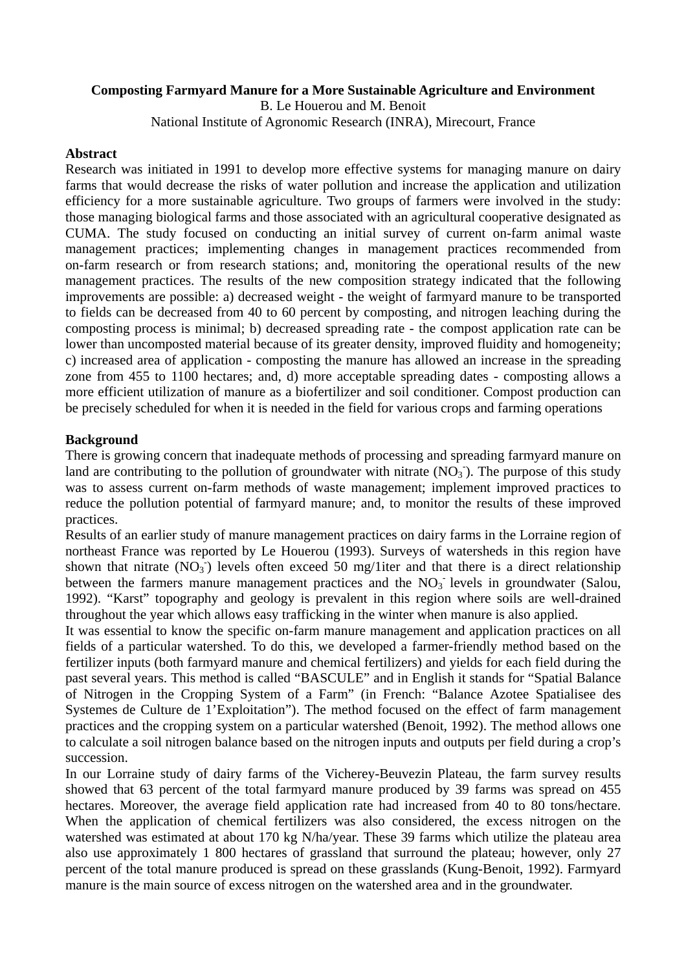## **Composting Farmyard Manure for a More Sustainable Agriculture and Environment**

B. Le Houerou and M. Benoit National Institute of Agronomic Research (INRA), Mirecourt, France

#### **Abstract**

Research was initiated in 1991 to develop more effective systems for managing manure on dairy farms that would decrease the risks of water pollution and increase the application and utilization efficiency for a more sustainable agriculture. Two groups of farmers were involved in the study: those managing biological farms and those associated with an agricultural cooperative designated as CUMA. The study focused on conducting an initial survey of current on-farm animal waste management practices; implementing changes in management practices recommended from on-farm research or from research stations; and, monitoring the operational results of the new management practices. The results of the new composition strategy indicated that the following improvements are possible: a) decreased weight - the weight of farmyard manure to be transported to fields can be decreased from 40 to 60 percent by composting, and nitrogen leaching during the composting process is minimal; b) decreased spreading rate - the compost application rate can be lower than uncomposted material because of its greater density, improved fluidity and homogeneity; c) increased area of application - composting the manure has allowed an increase in the spreading zone from 455 to 1100 hectares; and, d) more acceptable spreading dates - composting allows a more efficient utilization of manure as a biofertilizer and soil conditioner. Compost production can be precisely scheduled for when it is needed in the field for various crops and farming operations

## **Background**

There is growing concern that inadequate methods of processing and spreading farmyard manure on land are contributing to the pollution of groundwater with nitrate  $(NO<sub>3</sub>)$ . The purpose of this study was to assess current on-farm methods of waste management; implement improved practices to reduce the pollution potential of farmyard manure; and, to monitor the results of these improved practices.

Results of an earlier study of manure management practices on dairy farms in the Lorraine region of northeast France was reported by Le Houerou (1993). Surveys of watersheds in this region have shown that nitrate  $(NO<sub>3</sub>)$  levels often exceed 50 mg/1iter and that there is a direct relationship between the farmers manure management practices and the  $NO<sub>3</sub>$  levels in groundwater (Salou, 1992). "Karst" topography and geology is prevalent in this region where soils are well-drained throughout the year which allows easy trafficking in the winter when manure is also applied.

It was essential to know the specific on-farm manure management and application practices on all fields of a particular watershed. To do this, we developed a farmer-friendly method based on the fertilizer inputs (both farmyard manure and chemical fertilizers) and yields for each field during the past several years. This method is called "BASCULE" and in English it stands for "Spatial Balance of Nitrogen in the Cropping System of a Farm" (in French: "Balance Azotee Spatialisee des Systemes de Culture de 1'Exploitation"). The method focused on the effect of farm management practices and the cropping system on a particular watershed (Benoit, 1992). The method allows one to calculate a soil nitrogen balance based on the nitrogen inputs and outputs per field during a crop's succession.

In our Lorraine study of dairy farms of the Vicherey-Beuvezin Plateau, the farm survey results showed that 63 percent of the total farmyard manure produced by 39 farms was spread on 455 hectares. Moreover, the average field application rate had increased from 40 to 80 tons/hectare. When the application of chemical fertilizers was also considered, the excess nitrogen on the watershed was estimated at about 170 kg N/ha/year. These 39 farms which utilize the plateau area also use approximately 1 800 hectares of grassland that surround the plateau; however, only 27 percent of the total manure produced is spread on these grasslands (Kung-Benoit, 1992). Farmyard manure is the main source of excess nitrogen on the watershed area and in the groundwater.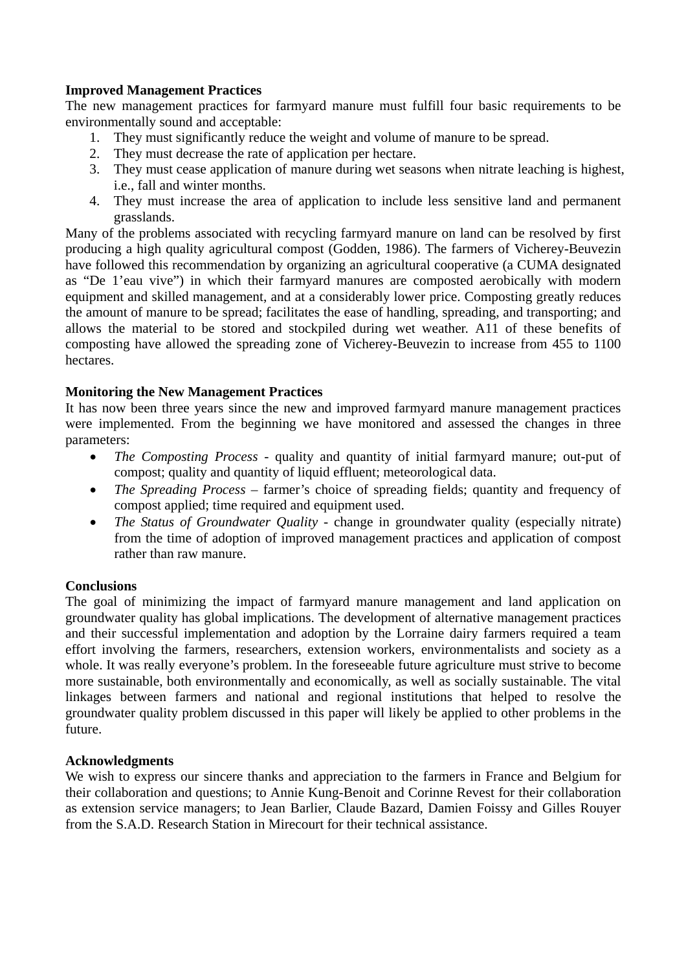# **Improved Management Practices**

The new management practices for farmyard manure must fulfill four basic requirements to be environmentally sound and acceptable:

- 1. They must significantly reduce the weight and volume of manure to be spread.
- 2. They must decrease the rate of application per hectare.
- 3. They must cease application of manure during wet seasons when nitrate leaching is highest, i.e., fall and winter months.
- 4. They must increase the area of application to include less sensitive land and permanent grasslands.

Many of the problems associated with recycling farmyard manure on land can be resolved by first producing a high quality agricultural compost (Godden, 1986). The farmers of Vicherey-Beuvezin have followed this recommendation by organizing an agricultural cooperative (a CUMA designated as "De 1'eau vive") in which their farmyard manures are composted aerobically with modern equipment and skilled management, and at a considerably lower price. Composting greatly reduces the amount of manure to be spread; facilitates the ease of handling, spreading, and transporting; and allows the material to be stored and stockpiled during wet weather. A11 of these benefits of composting have allowed the spreading zone of Vicherey-Beuvezin to increase from 455 to 1100 hectares.

## **Monitoring the New Management Practices**

It has now been three years since the new and improved farmyard manure management practices were implemented. From the beginning we have monitored and assessed the changes in three parameters:

- *The Composting Process* - quality and quantity of initial farmyard manure; out-put of compost; quality and quantity of liquid effluent; meteorological data.
- $\bullet$ *The Spreading Process* – farmer's choice of spreading fields; quantity and frequency of compost applied; time required and equipment used.
- *The Status of Groundwater Quality* - change in groundwater quality (especially nitrate) from the time of adoption of improved management practices and application of compost rather than raw manure.

## **Conclusions**

The goal of minimizing the impact of farmyard manure management and land application on groundwater quality has global implications. The development of alternative management practices and their successful implementation and adoption by the Lorraine dairy farmers required a team effort involving the farmers, researchers, extension workers, environmentalists and society as a whole. It was really everyone's problem. In the foreseeable future agriculture must strive to become more sustainable, both environmentally and economically, as well as socially sustainable. The vital linkages between farmers and national and regional institutions that helped to resolve the groundwater quality problem discussed in this paper will likely be applied to other problems in the future.

## **Acknowledgments**

We wish to express our sincere thanks and appreciation to the farmers in France and Belgium for their collaboration and questions; to Annie Kung-Benoit and Corinne Revest for their collaboration as extension service managers; to Jean Barlier, Claude Bazard, Damien Foissy and Gilles Rouyer from the S.A.D. Research Station in Mirecourt for their technical assistance.